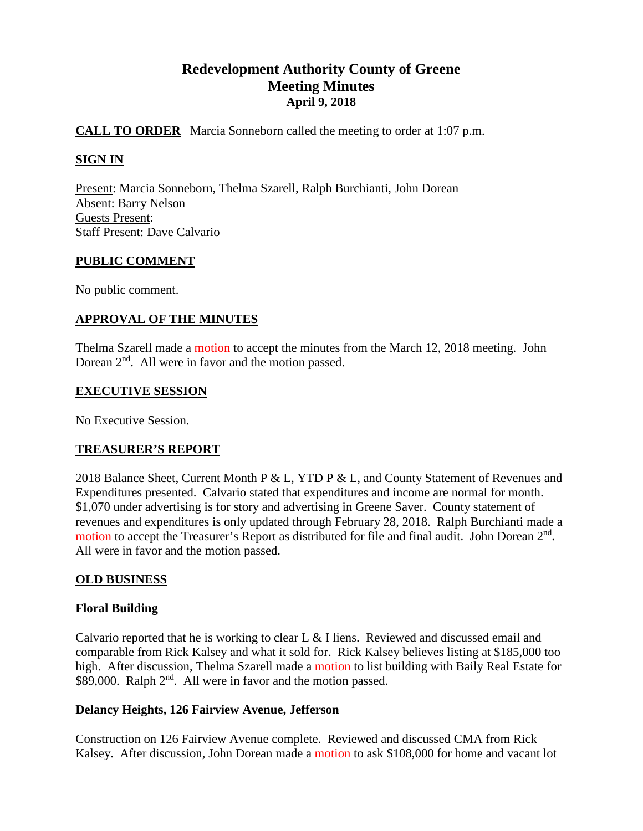# **Redevelopment Authority County of Greene Meeting Minutes April 9, 2018**

# **CALL TO ORDER** Marcia Sonneborn called the meeting to order at 1:07 p.m.

# **SIGN IN**

Present: Marcia Sonneborn, Thelma Szarell, Ralph Burchianti, John Dorean Absent: Barry Nelson Guests Present: Staff Present: Dave Calvario

## **PUBLIC COMMENT**

No public comment.

## **APPROVAL OF THE MINUTES**

Thelma Szarell made a motion to accept the minutes from the March 12, 2018 meeting. John Dorean  $2<sup>nd</sup>$ . All were in favor and the motion passed.

## **EXECUTIVE SESSION**

No Executive Session.

## **TREASURER'S REPORT**

2018 Balance Sheet, Current Month P & L, YTD P & L, and County Statement of Revenues and Expenditures presented. Calvario stated that expenditures and income are normal for month. \$1,070 under advertising is for story and advertising in Greene Saver. County statement of revenues and expenditures is only updated through February 28, 2018. Ralph Burchianti made a motion to accept the Treasurer's Report as distributed for file and final audit. John Dorean  $2<sup>nd</sup>$ . All were in favor and the motion passed.

## **OLD BUSINESS**

## **Floral Building**

Calvario reported that he is working to clear L & I liens. Reviewed and discussed email and comparable from Rick Kalsey and what it sold for. Rick Kalsey believes listing at \$185,000 too high. After discussion, Thelma Szarell made a motion to list building with Baily Real Estate for \$89,000. Ralph 2<sup>nd</sup>. All were in favor and the motion passed.

## **Delancy Heights, 126 Fairview Avenue, Jefferson**

Construction on 126 Fairview Avenue complete. Reviewed and discussed CMA from Rick Kalsey. After discussion, John Dorean made a motion to ask \$108,000 for home and vacant lot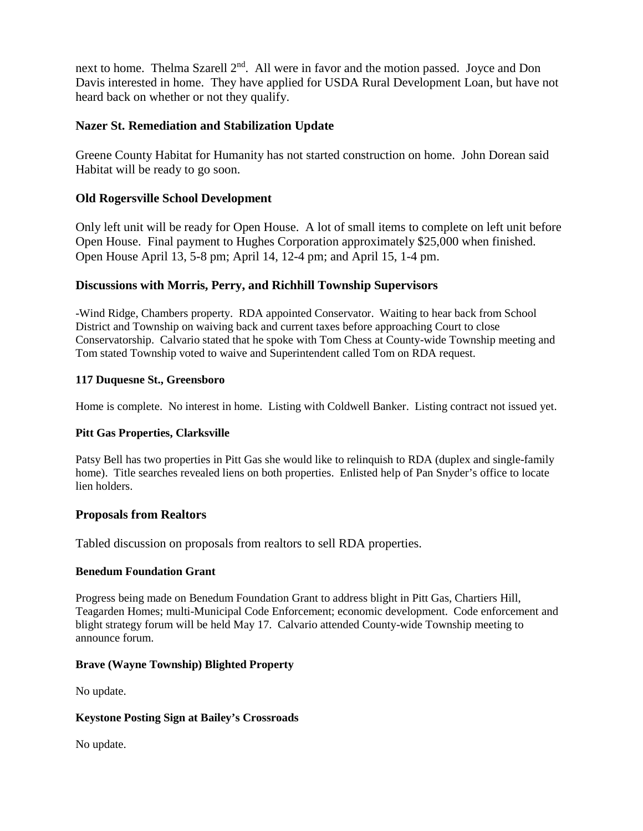next to home. Thelma Szarell 2<sup>nd</sup>. All were in favor and the motion passed. Joyce and Don Davis interested in home. They have applied for USDA Rural Development Loan, but have not heard back on whether or not they qualify.

# **Nazer St. Remediation and Stabilization Update**

Greene County Habitat for Humanity has not started construction on home. John Dorean said Habitat will be ready to go soon.

## **Old Rogersville School Development**

Only left unit will be ready for Open House. A lot of small items to complete on left unit before Open House. Final payment to Hughes Corporation approximately \$25,000 when finished. Open House April 13, 5-8 pm; April 14, 12-4 pm; and April 15, 1-4 pm.

# **Discussions with Morris, Perry, and Richhill Township Supervisors**

-Wind Ridge, Chambers property. RDA appointed Conservator. Waiting to hear back from School District and Township on waiving back and current taxes before approaching Court to close Conservatorship. Calvario stated that he spoke with Tom Chess at County-wide Township meeting and Tom stated Township voted to waive and Superintendent called Tom on RDA request.

## **117 Duquesne St., Greensboro**

Home is complete. No interest in home. Listing with Coldwell Banker. Listing contract not issued yet.

## **Pitt Gas Properties, Clarksville**

Patsy Bell has two properties in Pitt Gas she would like to relinquish to RDA (duplex and single-family home). Title searches revealed liens on both properties. Enlisted help of Pan Snyder's office to locate lien holders.

## **Proposals from Realtors**

Tabled discussion on proposals from realtors to sell RDA properties.

#### **Benedum Foundation Grant**

Progress being made on Benedum Foundation Grant to address blight in Pitt Gas, Chartiers Hill, Teagarden Homes; multi-Municipal Code Enforcement; economic development. Code enforcement and blight strategy forum will be held May 17. Calvario attended County-wide Township meeting to announce forum.

#### **Brave (Wayne Township) Blighted Property**

No update.

#### **Keystone Posting Sign at Bailey's Crossroads**

No update.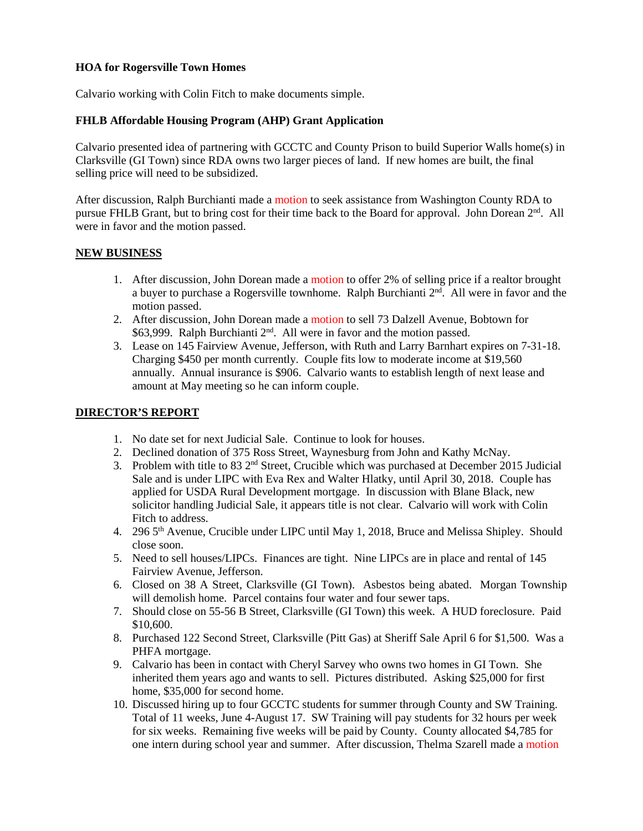#### **HOA for Rogersville Town Homes**

Calvario working with Colin Fitch to make documents simple.

#### **FHLB Affordable Housing Program (AHP) Grant Application**

Calvario presented idea of partnering with GCCTC and County Prison to build Superior Walls home(s) in Clarksville (GI Town) since RDA owns two larger pieces of land. If new homes are built, the final selling price will need to be subsidized.

After discussion, Ralph Burchianti made a motion to seek assistance from Washington County RDA to pursue FHLB Grant, but to bring cost for their time back to the Board for approval. John Dorean 2<sup>nd</sup>. All were in favor and the motion passed.

## **NEW BUSINESS**

- 1. After discussion, John Dorean made a motion to offer 2% of selling price if a realtor brought a buyer to purchase a Rogersville townhome. Ralph Burchianti  $2<sup>nd</sup>$ . All were in favor and the motion passed.
- 2. After discussion, John Dorean made a motion to sell 73 Dalzell Avenue, Bobtown for \$63,999. Ralph Burchianti 2<sup>nd</sup>. All were in favor and the motion passed.
- 3. Lease on 145 Fairview Avenue, Jefferson, with Ruth and Larry Barnhart expires on 7-31-18. Charging \$450 per month currently. Couple fits low to moderate income at \$19,560 annually. Annual insurance is \$906. Calvario wants to establish length of next lease and amount at May meeting so he can inform couple.

## **DIRECTOR'S REPORT**

- 1. No date set for next Judicial Sale. Continue to look for houses.
- 2. Declined donation of 375 Ross Street, Waynesburg from John and Kathy McNay.
- 3. Problem with title to 83  $2<sup>nd</sup>$  Street, Crucible which was purchased at December 2015 Judicial Sale and is under LIPC with Eva Rex and Walter Hlatky, until April 30, 2018. Couple has applied for USDA Rural Development mortgage. In discussion with Blane Black, new solicitor handling Judicial Sale, it appears title is not clear. Calvario will work with Colin Fitch to address.
- 4. 296 5<sup>th</sup> Avenue, Crucible under LIPC until May 1, 2018, Bruce and Melissa Shipley. Should close soon.
- 5. Need to sell houses/LIPCs. Finances are tight. Nine LIPCs are in place and rental of 145 Fairview Avenue, Jefferson.
- 6. Closed on 38 A Street, Clarksville (GI Town). Asbestos being abated. Morgan Township will demolish home. Parcel contains four water and four sewer taps.
- 7. Should close on 55-56 B Street, Clarksville (GI Town) this week. A HUD foreclosure. Paid \$10,600.
- 8. Purchased 122 Second Street, Clarksville (Pitt Gas) at Sheriff Sale April 6 for \$1,500. Was a PHFA mortgage.
- 9. Calvario has been in contact with Cheryl Sarvey who owns two homes in GI Town. She inherited them years ago and wants to sell. Pictures distributed. Asking \$25,000 for first home, \$35,000 for second home.
- 10. Discussed hiring up to four GCCTC students for summer through County and SW Training. Total of 11 weeks, June 4-August 17. SW Training will pay students for 32 hours per week for six weeks. Remaining five weeks will be paid by County. County allocated \$4,785 for one intern during school year and summer. After discussion, Thelma Szarell made a motion